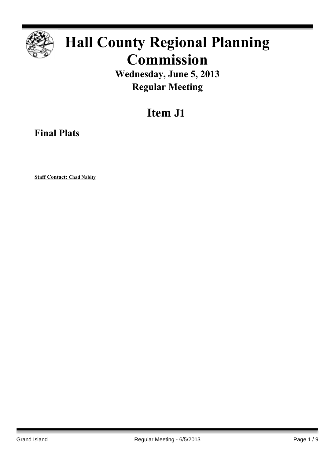

# **Hall County Regional Planning Commission**

**Wednesday, June 5, 2013 Regular Meeting**

# **Item J1**

**Final Plats**

**Staff Contact: Chad Nabity**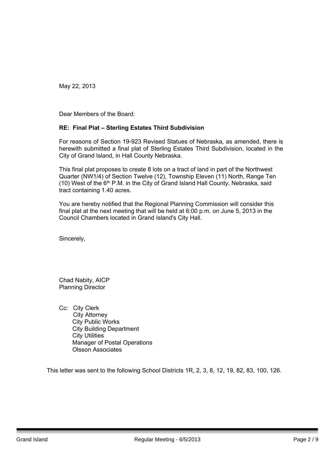Dear Members of the Board:

### **RE: Final Plat – Sterling Estates Third Subdivision**

For reasons of Section 19-923 Revised Statues of Nebraska, as amended, there is herewith submitted a final plat of Sterling Estates Third Subdivision, located in the City of Grand Island, in Hall County Nebraska.

This final plat proposes to create 8 lots on a tract of land in part of the Northwest Quarter (NW1/4) of Section Twelve (12), Township Eleven (11) North, Range Ten (10) West of the 6<sup>th</sup> P.M. in the City of Grand Island Hall County, Nebraska, said tract containing 1.40 acres.

You are hereby notified that the Regional Planning Commission will consider this final plat at the next meeting that will be held at 6:00 p.m. on June 5, 2013 in the Council Chambers located in Grand Island's City Hall.

Sincerely,

Chad Nabity, AICP Planning Director

Cc: City Clerk City Attorney City Public Works City Building Department City Utilities Manager of Postal Operations Olsson Associates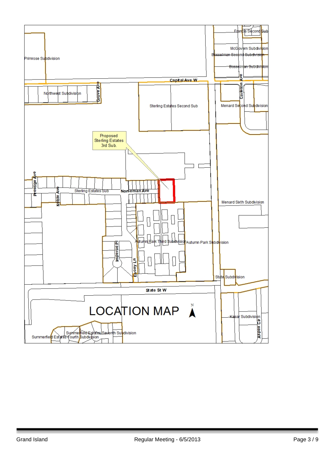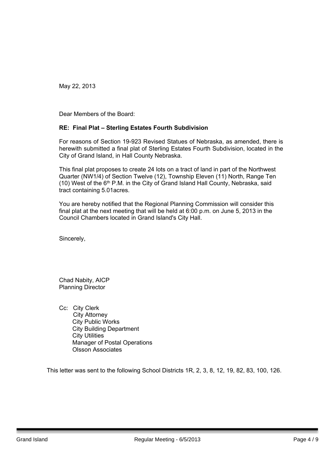Dear Members of the Board:

## **RE: Final Plat – Sterling Estates Fourth Subdivision**

For reasons of Section 19-923 Revised Statues of Nebraska, as amended, there is herewith submitted a final plat of Sterling Estates Fourth Subdivision, located in the City of Grand Island, in Hall County Nebraska.

This final plat proposes to create 24 lots on a tract of land in part of the Northwest Quarter (NW1/4) of Section Twelve (12), Township Eleven (11) North, Range Ten (10) West of the 6<sup>th</sup> P.M. in the City of Grand Island Hall County, Nebraska, said tract containing 5.01acres.

You are hereby notified that the Regional Planning Commission will consider this final plat at the next meeting that will be held at 6:00 p.m. on June 5, 2013 in the Council Chambers located in Grand Island's City Hall.

Sincerely,

Chad Nabity, AICP Planning Director

Cc: City Clerk City Attorney City Public Works City Building Department City Utilities Manager of Postal Operations Olsson Associates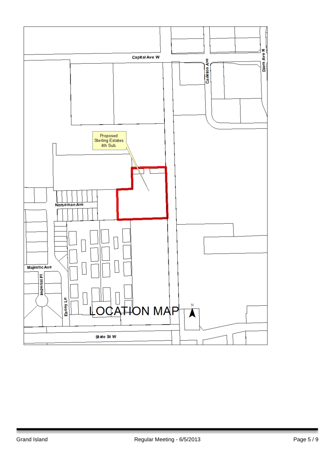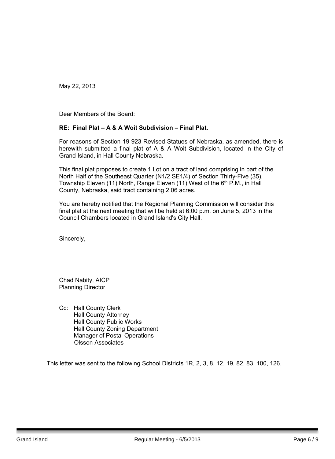Dear Members of the Board:

#### **RE: Final Plat – A & A Woit Subdivision – Final Plat.**

For reasons of Section 19-923 Revised Statues of Nebraska, as amended, there is herewith submitted a final plat of A & A Woit Subdivision, located in the City of Grand Island, in Hall County Nebraska.

This final plat proposes to create 1 Lot on a tract of land comprising in part of the North Half of the Southeast Quarter (N1/2 SE1/4) of Section Thirty-Five (35), Township Eleven (11) North, Range Eleven (11) West of the 6<sup>th</sup> P.M., in Hall County, Nebraska, said tract containing 2.06 acres.

You are hereby notified that the Regional Planning Commission will consider this final plat at the next meeting that will be held at 6:00 p.m. on June 5, 2013 in the Council Chambers located in Grand Island's City Hall.

Sincerely,

Chad Nabity, AICP Planning Director

Cc: Hall County Clerk Hall County Attorney Hall County Public Works Hall County Zoning Department Manager of Postal Operations Olsson Associates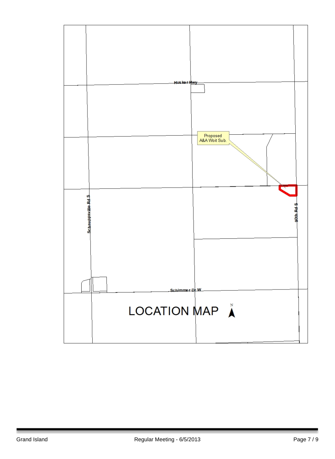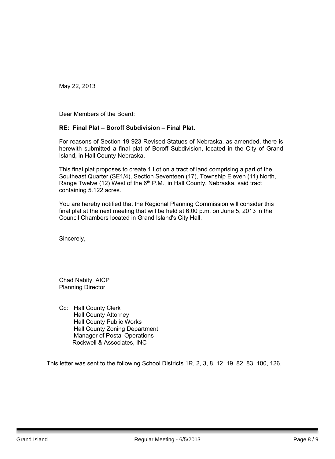Dear Members of the Board:

#### **RE: Final Plat – Boroff Subdivision – Final Plat.**

For reasons of Section 19-923 Revised Statues of Nebraska, as amended, there is herewith submitted a final plat of Boroff Subdivision, located in the City of Grand Island, in Hall County Nebraska.

This final plat proposes to create 1 Lot on a tract of land comprising a part of the Southeast Quarter (SE1/4), Section Seventeen (17), Township Eleven (11) North, Range Twelve (12) West of the 6<sup>th</sup> P.M., in Hall County, Nebraska, said tract containing 5.122 acres.

You are hereby notified that the Regional Planning Commission will consider this final plat at the next meeting that will be held at 6:00 p.m. on June 5, 2013 in the Council Chambers located in Grand Island's City Hall.

Sincerely,

Chad Nabity, AICP Planning Director

Cc: Hall County Clerk Hall County Attorney Hall County Public Works Hall County Zoning Department Manager of Postal Operations Rockwell & Associates, INC